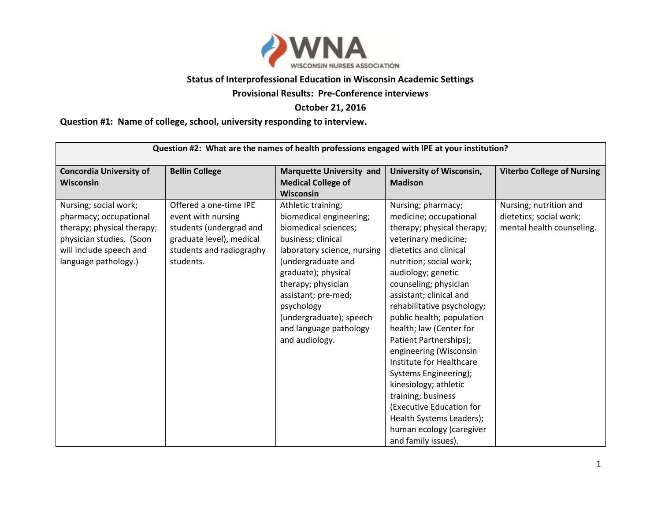

## **Status of Interprofessional Education in Wisconsin Academic Settings**

## **Provisional Results: Pre-Conference interviews**

## **October 21, 2016**

## **Question #1: Name of college, school, university responding to interview.**

| Question #2: What are the names of health professions engaged with IPE at your institution?                                                                  |                                                                                                                                              |                                                                                                                                                                                                                                                                                                           |                                                                                                                                                                                                                                                                                                                                                                                                                                                                                                                                                                                            |                                                                                |
|--------------------------------------------------------------------------------------------------------------------------------------------------------------|----------------------------------------------------------------------------------------------------------------------------------------------|-----------------------------------------------------------------------------------------------------------------------------------------------------------------------------------------------------------------------------------------------------------------------------------------------------------|--------------------------------------------------------------------------------------------------------------------------------------------------------------------------------------------------------------------------------------------------------------------------------------------------------------------------------------------------------------------------------------------------------------------------------------------------------------------------------------------------------------------------------------------------------------------------------------------|--------------------------------------------------------------------------------|
| <b>Concordia University of</b><br>Wisconsin                                                                                                                  | <b>Bellin College</b>                                                                                                                        | <b>Marquette University and</b><br><b>Medical College of</b><br><b>Wisconsin</b>                                                                                                                                                                                                                          | <b>University of Wisconsin,</b><br><b>Madison</b>                                                                                                                                                                                                                                                                                                                                                                                                                                                                                                                                          | <b>Viterbo College of Nursing</b>                                              |
| Nursing; social work;<br>pharmacy; occupational<br>therapy; physical therapy;<br>physician studies. (Soon<br>will include speech and<br>language pathology.) | Offered a one-time IPE<br>event with nursing<br>students (undergrad and<br>graduate level), medical<br>students and radiography<br>students. | Athletic training;<br>biomedical engineering;<br>biomedical sciences;<br>business; clinical<br>laboratory science, nursing<br>(undergraduate and<br>graduate); physical<br>therapy; physician<br>assistant; pre-med;<br>psychology<br>(undergraduate); speech<br>and language pathology<br>and audiology. | Nursing; pharmacy;<br>medicine; occupational<br>therapy; physical therapy;<br>veterinary medicine;<br>dietetics and clinical<br>nutrition; social work;<br>audiology; genetic<br>counseling; physician<br>assistant; clinical and<br>rehabilitative psychology;<br>public health; population<br>health; law (Center for<br>Patient Partnerships);<br>engineering (Wisconsin<br>Institute for Healthcare<br>Systems Engineering);<br>kinesiology; athletic<br>training; business<br>(Executive Education for<br>Health Systems Leaders);<br>human ecology (caregiver<br>and family issues). | Nursing; nutrition and<br>dietetics; social work;<br>mental health counseling. |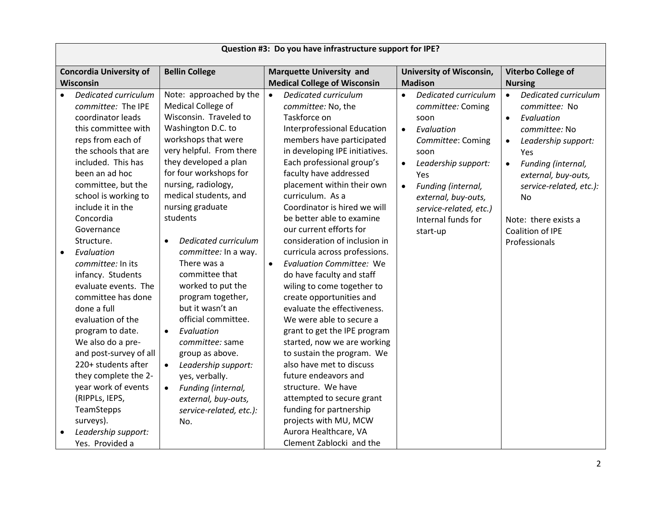| Question #3: Do you have infrastructure support for IPE?                                                                                                                                                                                                                                                                                                                                                                                                                                                                                                                                                                                                                                    |                                                                                                                                                                                                                                                                                                                                                                                                                                                                                                                                                                                                                                                                                           |                                                                                                                                                                                                                                                                                                                                                                                                                                                                                                                                                                                                                                                                                                                                                                                                                                                                                                                                                         |                                                                                                                                                                                                                                                                                         |                                                                                                                                                                                                                                                                                                   |
|---------------------------------------------------------------------------------------------------------------------------------------------------------------------------------------------------------------------------------------------------------------------------------------------------------------------------------------------------------------------------------------------------------------------------------------------------------------------------------------------------------------------------------------------------------------------------------------------------------------------------------------------------------------------------------------------|-------------------------------------------------------------------------------------------------------------------------------------------------------------------------------------------------------------------------------------------------------------------------------------------------------------------------------------------------------------------------------------------------------------------------------------------------------------------------------------------------------------------------------------------------------------------------------------------------------------------------------------------------------------------------------------------|---------------------------------------------------------------------------------------------------------------------------------------------------------------------------------------------------------------------------------------------------------------------------------------------------------------------------------------------------------------------------------------------------------------------------------------------------------------------------------------------------------------------------------------------------------------------------------------------------------------------------------------------------------------------------------------------------------------------------------------------------------------------------------------------------------------------------------------------------------------------------------------------------------------------------------------------------------|-----------------------------------------------------------------------------------------------------------------------------------------------------------------------------------------------------------------------------------------------------------------------------------------|---------------------------------------------------------------------------------------------------------------------------------------------------------------------------------------------------------------------------------------------------------------------------------------------------|
| <b>Concordia University of</b>                                                                                                                                                                                                                                                                                                                                                                                                                                                                                                                                                                                                                                                              | <b>Bellin College</b>                                                                                                                                                                                                                                                                                                                                                                                                                                                                                                                                                                                                                                                                     | <b>Marquette University and</b>                                                                                                                                                                                                                                                                                                                                                                                                                                                                                                                                                                                                                                                                                                                                                                                                                                                                                                                         | <b>University of Wisconsin,</b>                                                                                                                                                                                                                                                         | Viterbo College of                                                                                                                                                                                                                                                                                |
| Wisconsin                                                                                                                                                                                                                                                                                                                                                                                                                                                                                                                                                                                                                                                                                   |                                                                                                                                                                                                                                                                                                                                                                                                                                                                                                                                                                                                                                                                                           | <b>Medical College of Wisconsin</b>                                                                                                                                                                                                                                                                                                                                                                                                                                                                                                                                                                                                                                                                                                                                                                                                                                                                                                                     | <b>Madison</b>                                                                                                                                                                                                                                                                          | <b>Nursing</b>                                                                                                                                                                                                                                                                                    |
| Dedicated curriculum<br>$\bullet$<br>committee: The IPE<br>coordinator leads<br>this committee with<br>reps from each of<br>the schools that are<br>included. This has<br>been an ad hoc<br>committee, but the<br>school is working to<br>include it in the<br>Concordia<br>Governance<br>Structure.<br>Evaluation<br>$\bullet$<br>committee: In its<br>infancy. Students<br>evaluate events. The<br>committee has done<br>done a full<br>evaluation of the<br>program to date.<br>We also do a pre-<br>and post-survey of all<br>220+ students after<br>they complete the 2-<br>year work of events<br>(RIPPLs, IEPS,<br>TeamStepps<br>surveys).<br>Leadership support:<br>Yes. Provided a | Note: approached by the<br>Medical College of<br>Wisconsin. Traveled to<br>Washington D.C. to<br>workshops that were<br>very helpful. From there<br>they developed a plan<br>for four workshops for<br>nursing, radiology,<br>medical students, and<br>nursing graduate<br>students<br>Dedicated curriculum<br>$\bullet$<br>committee: In a way.<br>There was a<br>committee that<br>worked to put the<br>program together,<br>but it wasn't an<br>official committee.<br>Evaluation<br>$\bullet$<br>committee: same<br>group as above.<br>Leadership support:<br>$\bullet$<br>yes, verbally.<br>Funding (internal,<br>$\bullet$<br>external, buy-outs,<br>service-related, etc.):<br>No. | Dedicated curriculum<br>$\bullet$<br>committee: No, the<br>Taskforce on<br>Interprofessional Education<br>members have participated<br>in developing IPE initiatives.<br>Each professional group's<br>faculty have addressed<br>placement within their own<br>curriculum. As a<br>Coordinator is hired we will<br>be better able to examine<br>our current efforts for<br>consideration of inclusion in<br>curricula across professions.<br><b>Evaluation Committee: We</b><br>$\bullet$<br>do have faculty and staff<br>wiling to come together to<br>create opportunities and<br>evaluate the effectiveness.<br>We were able to secure a<br>grant to get the IPE program<br>started, now we are working<br>to sustain the program. We<br>also have met to discuss<br>future endeavors and<br>structure. We have<br>attempted to secure grant<br>funding for partnership<br>projects with MU, MCW<br>Aurora Healthcare, VA<br>Clement Zablocki and the | Dedicated curriculum<br>$\bullet$<br>committee: Coming<br>soon<br>Evaluation<br>$\bullet$<br>Committee: Coming<br>soon<br>Leadership support:<br>$\bullet$<br>Yes<br>Funding (internal,<br>$\bullet$<br>external, buy-outs,<br>service-related, etc.)<br>Internal funds for<br>start-up | Dedicated curriculum<br>$\bullet$<br>committee: No<br>Evaluation<br>$\bullet$<br>committee: No<br>Leadership support:<br>$\bullet$<br>Yes<br>Funding (internal,<br>$\bullet$<br>external, buy-outs,<br>service-related, etc.):<br>No<br>Note: there exists a<br>Coalition of IPE<br>Professionals |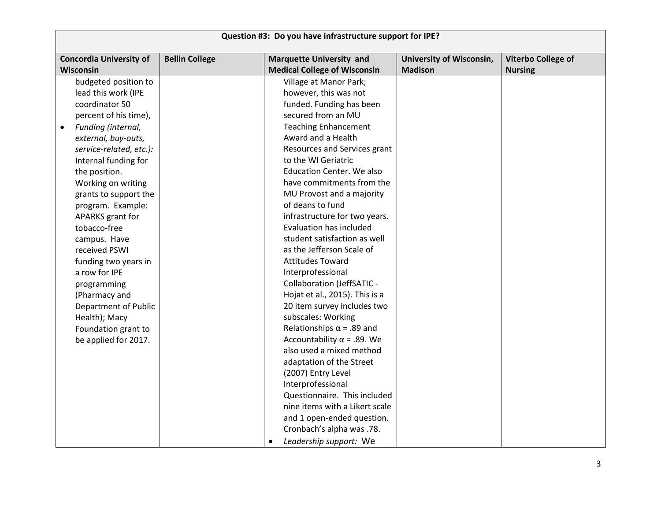| Question #3: Do you have infrastructure support for IPE? |                       |                                                                        |                                                   |                                      |
|----------------------------------------------------------|-----------------------|------------------------------------------------------------------------|---------------------------------------------------|--------------------------------------|
| <b>Concordia University of</b><br><b>Wisconsin</b>       | <b>Bellin College</b> | <b>Marquette University and</b><br><b>Medical College of Wisconsin</b> | <b>University of Wisconsin,</b><br><b>Madison</b> | Viterbo College of<br><b>Nursing</b> |
| budgeted position to                                     |                       | Village at Manor Park;                                                 |                                                   |                                      |
| lead this work (IPE                                      |                       | however, this was not                                                  |                                                   |                                      |
| coordinator 50                                           |                       | funded. Funding has been                                               |                                                   |                                      |
| percent of his time),                                    |                       | secured from an MU                                                     |                                                   |                                      |
| Funding (internal,<br>$\bullet$                          |                       | <b>Teaching Enhancement</b>                                            |                                                   |                                      |
| external, buy-outs,                                      |                       | Award and a Health                                                     |                                                   |                                      |
| service-related, etc.):                                  |                       | Resources and Services grant                                           |                                                   |                                      |
| Internal funding for                                     |                       | to the WI Geriatric                                                    |                                                   |                                      |
| the position.                                            |                       | <b>Education Center. We also</b>                                       |                                                   |                                      |
| Working on writing                                       |                       | have commitments from the                                              |                                                   |                                      |
| grants to support the                                    |                       | MU Provost and a majority                                              |                                                   |                                      |
| program. Example:                                        |                       | of deans to fund                                                       |                                                   |                                      |
| APARKS grant for                                         |                       | infrastructure for two years.                                          |                                                   |                                      |
| tobacco-free                                             |                       | <b>Evaluation has included</b>                                         |                                                   |                                      |
| campus. Have                                             |                       | student satisfaction as well                                           |                                                   |                                      |
| received PSWI                                            |                       | as the Jefferson Scale of                                              |                                                   |                                      |
| funding two years in                                     |                       | <b>Attitudes Toward</b>                                                |                                                   |                                      |
| a row for IPE                                            |                       | Interprofessional                                                      |                                                   |                                      |
| programming                                              |                       | Collaboration (JeffSATIC -                                             |                                                   |                                      |
| (Pharmacy and                                            |                       | Hojat et al., 2015). This is a                                         |                                                   |                                      |
| <b>Department of Public</b>                              |                       | 20 item survey includes two                                            |                                                   |                                      |
| Health); Macy                                            |                       | subscales: Working                                                     |                                                   |                                      |
| Foundation grant to                                      |                       | Relationships $\alpha$ = .89 and                                       |                                                   |                                      |
| be applied for 2017.                                     |                       | Accountability $\alpha$ = .89. We                                      |                                                   |                                      |
|                                                          |                       | also used a mixed method                                               |                                                   |                                      |
|                                                          |                       | adaptation of the Street                                               |                                                   |                                      |
|                                                          |                       | (2007) Entry Level                                                     |                                                   |                                      |
|                                                          |                       | Interprofessional                                                      |                                                   |                                      |
|                                                          |                       | Questionnaire. This included                                           |                                                   |                                      |
|                                                          |                       | nine items with a Likert scale                                         |                                                   |                                      |
|                                                          |                       | and 1 open-ended question.                                             |                                                   |                                      |
|                                                          |                       | Cronbach's alpha was .78.                                              |                                                   |                                      |
|                                                          |                       | Leadership support: We<br>٠                                            |                                                   |                                      |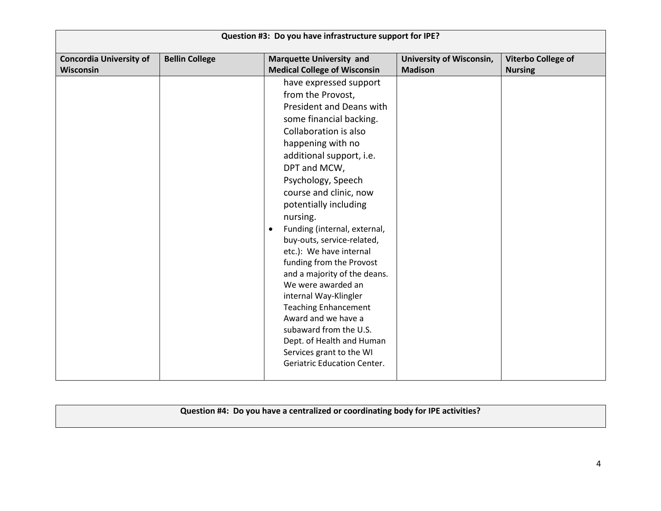| Question #3: Do you have infrastructure support for IPE? |                       |                                                                                                                                                                                                                                                                                                                                                                                                                                                                                                                                                                                                                                                                                   |                                            |                                      |
|----------------------------------------------------------|-----------------------|-----------------------------------------------------------------------------------------------------------------------------------------------------------------------------------------------------------------------------------------------------------------------------------------------------------------------------------------------------------------------------------------------------------------------------------------------------------------------------------------------------------------------------------------------------------------------------------------------------------------------------------------------------------------------------------|--------------------------------------------|--------------------------------------|
| <b>Concordia University of</b><br>Wisconsin              | <b>Bellin College</b> | <b>Marquette University and</b><br><b>Medical College of Wisconsin</b>                                                                                                                                                                                                                                                                                                                                                                                                                                                                                                                                                                                                            | University of Wisconsin,<br><b>Madison</b> | Viterbo College of<br><b>Nursing</b> |
|                                                          |                       | have expressed support<br>from the Provost,<br>President and Deans with<br>some financial backing.<br>Collaboration is also<br>happening with no<br>additional support, i.e.<br>DPT and MCW,<br>Psychology, Speech<br>course and clinic, now<br>potentially including<br>nursing.<br>Funding (internal, external,<br>$\bullet$<br>buy-outs, service-related,<br>etc.): We have internal<br>funding from the Provost<br>and a majority of the deans.<br>We were awarded an<br>internal Way-Klingler<br><b>Teaching Enhancement</b><br>Award and we have a<br>subaward from the U.S.<br>Dept. of Health and Human<br>Services grant to the WI<br><b>Geriatric Education Center.</b> |                                            |                                      |

**Question #4: Do you have a centralized or coordinating body for IPE activities?**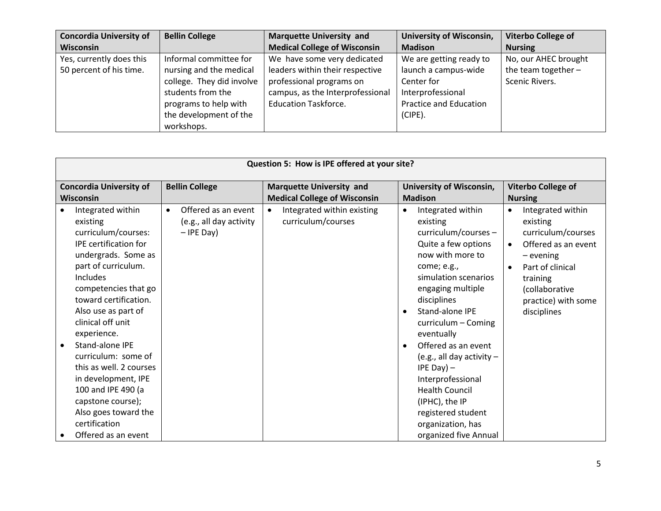| <b>Concordia University of</b> | <b>Bellin College</b>     | <b>Marquette University and</b>     | <b>University of Wisconsin,</b> | Viterbo College of    |
|--------------------------------|---------------------------|-------------------------------------|---------------------------------|-----------------------|
| <b>Wisconsin</b>               |                           | <b>Medical College of Wisconsin</b> | <b>Madison</b>                  | <b>Nursing</b>        |
| Yes, currently does this       | Informal committee for    | We have some very dedicated         | We are getting ready to         | No, our AHEC brought  |
| 50 percent of his time.        | nursing and the medical   | leaders within their respective     | launch a campus-wide            | the team together $-$ |
|                                | college. They did involve | professional programs on            | Center for                      | Scenic Rivers.        |
|                                | students from the         | campus, as the Interprofessional    | Interprofessional               |                       |
|                                | programs to help with     | <b>Education Taskforce.</b>         | Practice and Education          |                       |
|                                | the development of the    |                                     | (CIPE).                         |                       |
|                                | workshops.                |                                     |                                 |                       |

| Question 5: How is IPE offered at your site?                                                                                                                                                                                                                                                                                                                                                                                                         |                                                                             |                                                                                                      |                                                                                                                                                                                                                                                                                                                                                                                                                                                            |                                                                                                                                                                                                                                            |  |
|------------------------------------------------------------------------------------------------------------------------------------------------------------------------------------------------------------------------------------------------------------------------------------------------------------------------------------------------------------------------------------------------------------------------------------------------------|-----------------------------------------------------------------------------|------------------------------------------------------------------------------------------------------|------------------------------------------------------------------------------------------------------------------------------------------------------------------------------------------------------------------------------------------------------------------------------------------------------------------------------------------------------------------------------------------------------------------------------------------------------------|--------------------------------------------------------------------------------------------------------------------------------------------------------------------------------------------------------------------------------------------|--|
|                                                                                                                                                                                                                                                                                                                                                                                                                                                      |                                                                             |                                                                                                      |                                                                                                                                                                                                                                                                                                                                                                                                                                                            |                                                                                                                                                                                                                                            |  |
| <b>Concordia University of</b>                                                                                                                                                                                                                                                                                                                                                                                                                       | <b>Bellin College</b>                                                       | <b>Marquette University and</b>                                                                      | University of Wisconsin,                                                                                                                                                                                                                                                                                                                                                                                                                                   | Viterbo College of                                                                                                                                                                                                                         |  |
|                                                                                                                                                                                                                                                                                                                                                                                                                                                      |                                                                             |                                                                                                      |                                                                                                                                                                                                                                                                                                                                                                                                                                                            |                                                                                                                                                                                                                                            |  |
| <b>Wisconsin</b><br>Integrated within<br>existing<br>curriculum/courses:<br><b>IPE</b> certification for<br>undergrads. Some as<br>part of curriculum.<br><b>Includes</b><br>competencies that go<br>toward certification.<br>Also use as part of<br>clinical off unit<br>experience.<br>Stand-alone IPE<br>curriculum: some of<br>this as well. 2 courses<br>in development, IPE<br>100 and IPE 490 (a<br>capstone course);<br>Also goes toward the | Offered as an event<br>$\bullet$<br>(e.g., all day activity<br>$-$ IPE Day) | <b>Medical College of Wisconsin</b><br>Integrated within existing<br>$\bullet$<br>curriculum/courses | <b>Madison</b><br>Integrated within<br>$\bullet$<br>existing<br>curriculum/courses -<br>Quite a few options<br>now with more to<br>come; e.g.,<br>simulation scenarios<br>engaging multiple<br>disciplines<br>Stand-alone IPE<br>$\bullet$<br>$curriculum - Coming$<br>eventually<br>Offered as an event<br>$\bullet$<br>(e.g., all day activity $-$<br>IPE Day) $-$<br>Interprofessional<br><b>Health Council</b><br>(IPHC), the IP<br>registered student | <b>Nursing</b><br>Integrated within<br>$\bullet$<br>existing<br>curriculum/courses<br>Offered as an event<br>$\bullet$<br>$-$ evening<br>Part of clinical<br>$\bullet$<br>training<br>(collaborative<br>practice) with some<br>disciplines |  |
| certification<br>Offered as an event                                                                                                                                                                                                                                                                                                                                                                                                                 |                                                                             |                                                                                                      | organization, has<br>organized five Annual                                                                                                                                                                                                                                                                                                                                                                                                                 |                                                                                                                                                                                                                                            |  |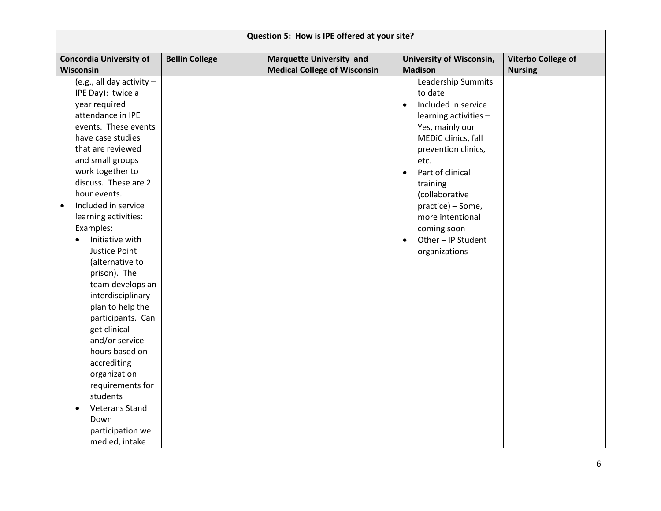| Question 5: How is IPE offered at your site?                                                                                                                                                                                                                                                                                                                                                                                                                                                                                                                                                                                                                    |                       |                                     |                                                                                                                                                                                                                                                                                                                                                |                           |
|-----------------------------------------------------------------------------------------------------------------------------------------------------------------------------------------------------------------------------------------------------------------------------------------------------------------------------------------------------------------------------------------------------------------------------------------------------------------------------------------------------------------------------------------------------------------------------------------------------------------------------------------------------------------|-----------------------|-------------------------------------|------------------------------------------------------------------------------------------------------------------------------------------------------------------------------------------------------------------------------------------------------------------------------------------------------------------------------------------------|---------------------------|
| <b>Concordia University of</b>                                                                                                                                                                                                                                                                                                                                                                                                                                                                                                                                                                                                                                  | <b>Bellin College</b> | <b>Marquette University and</b>     | <b>University of Wisconsin,</b>                                                                                                                                                                                                                                                                                                                | <b>Viterbo College of</b> |
| Wisconsin                                                                                                                                                                                                                                                                                                                                                                                                                                                                                                                                                                                                                                                       |                       | <b>Medical College of Wisconsin</b> | <b>Madison</b>                                                                                                                                                                                                                                                                                                                                 | <b>Nursing</b>            |
| (e.g., all day activity $-$<br>IPE Day): twice a<br>year required<br>attendance in IPE<br>events. These events<br>have case studies<br>that are reviewed<br>and small groups<br>work together to<br>discuss. These are 2<br>hour events.<br>Included in service<br>$\bullet$<br>learning activities:<br>Examples:<br>Initiative with<br>$\bullet$<br>Justice Point<br>(alternative to<br>prison). The<br>team develops an<br>interdisciplinary<br>plan to help the<br>participants. Can<br>get clinical<br>and/or service<br>hours based on<br>accrediting<br>organization<br>requirements for<br>students<br><b>Veterans Stand</b><br>Down<br>participation we |                       |                                     | Leadership Summits<br>to date<br>Included in service<br>$\bullet$<br>learning activities -<br>Yes, mainly our<br>MEDiC clinics, fall<br>prevention clinics,<br>etc.<br>Part of clinical<br>$\bullet$<br>training<br>(collaborative<br>practice) – Some,<br>more intentional<br>coming soon<br>Other - IP Student<br>$\bullet$<br>organizations |                           |
| med ed, intake                                                                                                                                                                                                                                                                                                                                                                                                                                                                                                                                                                                                                                                  |                       |                                     |                                                                                                                                                                                                                                                                                                                                                |                           |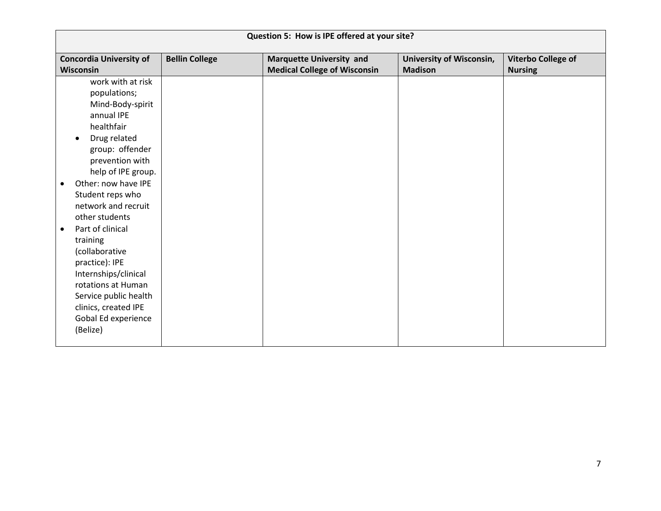| Question 5: How is IPE offered at your site?                                                                                                                                                                                                                                                                                                                                                                                                                                      |                       |                                     |                          |                           |
|-----------------------------------------------------------------------------------------------------------------------------------------------------------------------------------------------------------------------------------------------------------------------------------------------------------------------------------------------------------------------------------------------------------------------------------------------------------------------------------|-----------------------|-------------------------------------|--------------------------|---------------------------|
| <b>Concordia University of</b>                                                                                                                                                                                                                                                                                                                                                                                                                                                    | <b>Bellin College</b> | <b>Marquette University and</b>     | University of Wisconsin, | <b>Viterbo College of</b> |
| Wisconsin                                                                                                                                                                                                                                                                                                                                                                                                                                                                         |                       | <b>Medical College of Wisconsin</b> | <b>Madison</b>           | <b>Nursing</b>            |
| work with at risk<br>populations;<br>Mind-Body-spirit<br>annual IPE<br>healthfair<br>Drug related<br>group: offender<br>prevention with<br>help of IPE group.<br>Other: now have IPE<br>$\bullet$<br>Student reps who<br>network and recruit<br>other students<br>Part of clinical<br>$\bullet$<br>training<br>(collaborative<br>practice): IPE<br>Internships/clinical<br>rotations at Human<br>Service public health<br>clinics, created IPE<br>Gobal Ed experience<br>(Belize) |                       |                                     |                          |                           |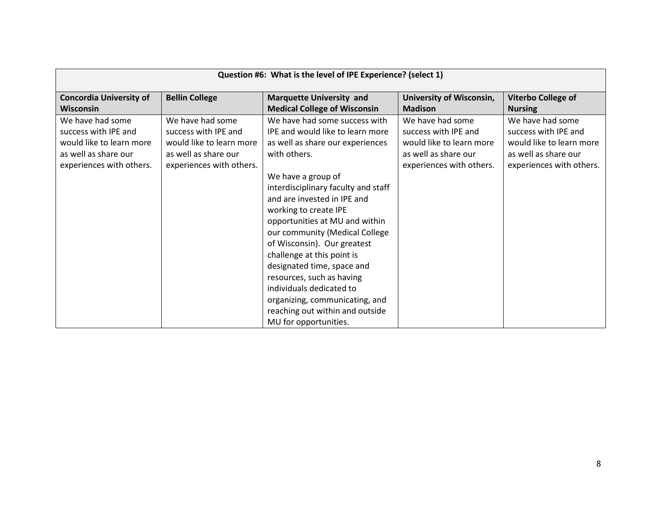| Question #6: What is the level of IPE Experience? (select 1)                                                             |                                                                                                                          |                                                                                                                                                                                                                                                                                                                                                                                                                                                                                                                                                                  |                                                                                                                          |                                                                                                                          |
|--------------------------------------------------------------------------------------------------------------------------|--------------------------------------------------------------------------------------------------------------------------|------------------------------------------------------------------------------------------------------------------------------------------------------------------------------------------------------------------------------------------------------------------------------------------------------------------------------------------------------------------------------------------------------------------------------------------------------------------------------------------------------------------------------------------------------------------|--------------------------------------------------------------------------------------------------------------------------|--------------------------------------------------------------------------------------------------------------------------|
| <b>Concordia University of</b><br><b>Wisconsin</b>                                                                       | <b>Bellin College</b>                                                                                                    | <b>Marquette University and</b><br><b>Medical College of Wisconsin</b>                                                                                                                                                                                                                                                                                                                                                                                                                                                                                           | <b>University of Wisconsin,</b><br><b>Madison</b>                                                                        | <b>Viterbo College of</b><br><b>Nursing</b>                                                                              |
| We have had some<br>success with IPE and<br>would like to learn more<br>as well as share our<br>experiences with others. | We have had some<br>success with IPE and<br>would like to learn more<br>as well as share our<br>experiences with others. | We have had some success with<br>IPE and would like to learn more<br>as well as share our experiences<br>with others.<br>We have a group of<br>interdisciplinary faculty and staff<br>and are invested in IPE and<br>working to create IPE<br>opportunities at MU and within<br>our community (Medical College<br>of Wisconsin). Our greatest<br>challenge at this point is<br>designated time, space and<br>resources, such as having<br>individuals dedicated to<br>organizing, communicating, and<br>reaching out within and outside<br>MU for opportunities. | We have had some<br>success with IPE and<br>would like to learn more<br>as well as share our<br>experiences with others. | We have had some<br>success with IPE and<br>would like to learn more<br>as well as share our<br>experiences with others. |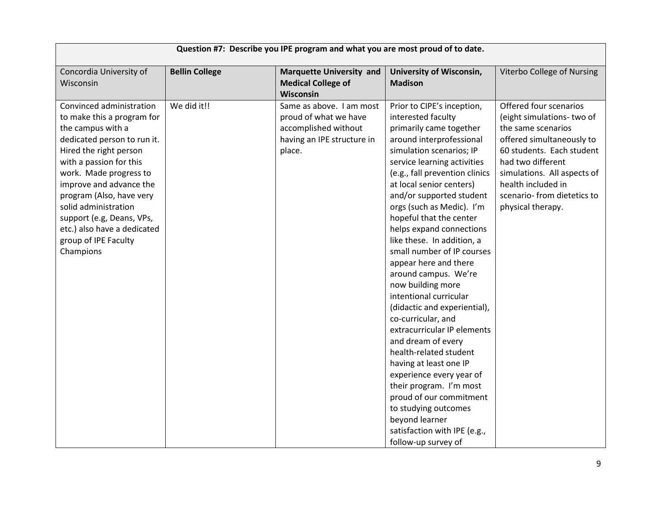| Question #7: Describe you IPE program and what you are most proud of to date. |                       |                                 |                                |                             |
|-------------------------------------------------------------------------------|-----------------------|---------------------------------|--------------------------------|-----------------------------|
| Concordia University of                                                       | <b>Bellin College</b> | <b>Marquette University and</b> | University of Wisconsin,       | Viterbo College of Nursing  |
| Wisconsin                                                                     |                       | <b>Medical College of</b>       | <b>Madison</b>                 |                             |
|                                                                               |                       | Wisconsin                       |                                |                             |
| Convinced administration                                                      | We did it!!           | Same as above. I am most        | Prior to CIPE's inception,     | Offered four scenarios      |
| to make this a program for                                                    |                       | proud of what we have           | interested faculty             | (eight simulations-two of   |
| the campus with a                                                             |                       | accomplished without            | primarily came together        | the same scenarios          |
| dedicated person to run it.                                                   |                       | having an IPE structure in      | around interprofessional       | offered simultaneously to   |
| Hired the right person                                                        |                       | place.                          | simulation scenarios; IP       | 60 students. Each student   |
| with a passion for this                                                       |                       |                                 | service learning activities    | had two different           |
| work. Made progress to                                                        |                       |                                 | (e.g., fall prevention clinics | simulations. All aspects of |
| improve and advance the                                                       |                       |                                 | at local senior centers)       | health included in          |
| program (Also, have very                                                      |                       |                                 | and/or supported student       | scenario- from dietetics to |
| solid administration                                                          |                       |                                 | orgs (such as Medic). I'm      | physical therapy.           |
| support (e.g, Deans, VPs,                                                     |                       |                                 | hopeful that the center        |                             |
| etc.) also have a dedicated                                                   |                       |                                 | helps expand connections       |                             |
| group of IPE Faculty                                                          |                       |                                 | like these. In addition, a     |                             |
| Champions                                                                     |                       |                                 | small number of IP courses     |                             |
|                                                                               |                       |                                 | appear here and there          |                             |
|                                                                               |                       |                                 | around campus. We're           |                             |
|                                                                               |                       |                                 | now building more              |                             |
|                                                                               |                       |                                 | intentional curricular         |                             |
|                                                                               |                       |                                 | (didactic and experiential),   |                             |
|                                                                               |                       |                                 | co-curricular, and             |                             |
|                                                                               |                       |                                 | extracurricular IP elements    |                             |
|                                                                               |                       |                                 | and dream of every             |                             |
|                                                                               |                       |                                 | health-related student         |                             |
|                                                                               |                       |                                 | having at least one IP         |                             |
|                                                                               |                       |                                 | experience every year of       |                             |
|                                                                               |                       |                                 | their program. I'm most        |                             |
|                                                                               |                       |                                 | proud of our commitment        |                             |
|                                                                               |                       |                                 | to studying outcomes           |                             |
|                                                                               |                       |                                 | beyond learner                 |                             |
|                                                                               |                       |                                 | satisfaction with IPE (e.g.,   |                             |
|                                                                               |                       |                                 | follow-up survey of            |                             |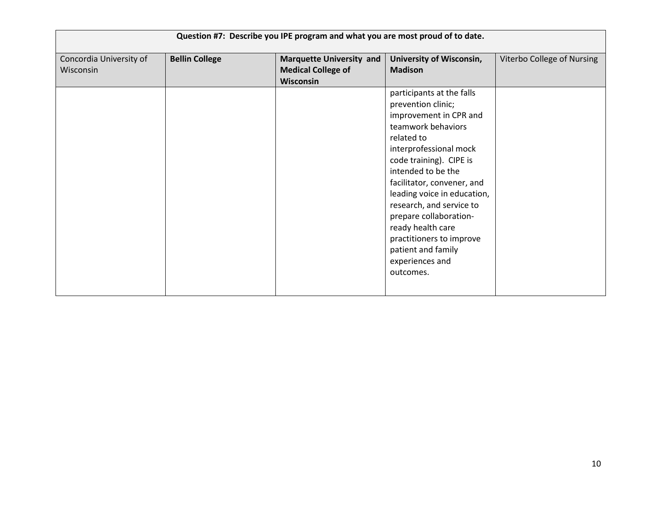| Question #7: Describe you IPE program and what you are most proud of to date. |                       |                                 |                             |                            |
|-------------------------------------------------------------------------------|-----------------------|---------------------------------|-----------------------------|----------------------------|
| Concordia University of                                                       | <b>Bellin College</b> | <b>Marquette University and</b> | University of Wisconsin,    | Viterbo College of Nursing |
| Wisconsin                                                                     |                       | <b>Medical College of</b>       | <b>Madison</b>              |                            |
|                                                                               |                       | <b>Wisconsin</b>                |                             |                            |
|                                                                               |                       |                                 | participants at the falls   |                            |
|                                                                               |                       |                                 | prevention clinic;          |                            |
|                                                                               |                       |                                 | improvement in CPR and      |                            |
|                                                                               |                       |                                 | teamwork behaviors          |                            |
|                                                                               |                       |                                 | related to                  |                            |
|                                                                               |                       |                                 | interprofessional mock      |                            |
|                                                                               |                       |                                 | code training). CIPE is     |                            |
|                                                                               |                       |                                 | intended to be the          |                            |
|                                                                               |                       |                                 | facilitator, convener, and  |                            |
|                                                                               |                       |                                 | leading voice in education, |                            |
|                                                                               |                       |                                 | research, and service to    |                            |
|                                                                               |                       |                                 | prepare collaboration-      |                            |
|                                                                               |                       |                                 | ready health care           |                            |
|                                                                               |                       |                                 | practitioners to improve    |                            |
|                                                                               |                       |                                 | patient and family          |                            |
|                                                                               |                       |                                 | experiences and             |                            |
|                                                                               |                       |                                 | outcomes.                   |                            |
|                                                                               |                       |                                 |                             |                            |
|                                                                               |                       |                                 |                             |                            |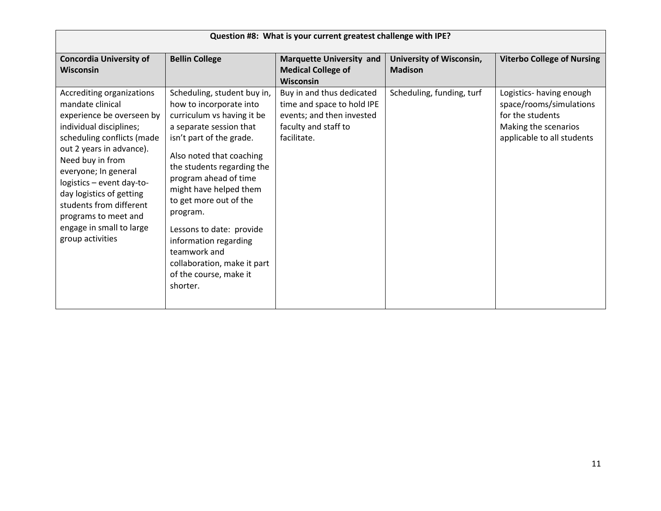| Question #8: What is your current greatest challenge with IPE?                                                                                                                                                                                                                                                                                                          |                                                                                                                                                                                                                                                                                                                                                                                                                                          |                                                                                                                             |                                            |                                                                                                                              |
|-------------------------------------------------------------------------------------------------------------------------------------------------------------------------------------------------------------------------------------------------------------------------------------------------------------------------------------------------------------------------|------------------------------------------------------------------------------------------------------------------------------------------------------------------------------------------------------------------------------------------------------------------------------------------------------------------------------------------------------------------------------------------------------------------------------------------|-----------------------------------------------------------------------------------------------------------------------------|--------------------------------------------|------------------------------------------------------------------------------------------------------------------------------|
| <b>Concordia University of</b><br><b>Wisconsin</b>                                                                                                                                                                                                                                                                                                                      | <b>Bellin College</b>                                                                                                                                                                                                                                                                                                                                                                                                                    | <b>Marquette University and</b><br><b>Medical College of</b><br><b>Wisconsin</b>                                            | University of Wisconsin,<br><b>Madison</b> | <b>Viterbo College of Nursing</b>                                                                                            |
| Accrediting organizations<br>mandate clinical<br>experience be overseen by<br>individual disciplines;<br>scheduling conflicts (made<br>out 2 years in advance).<br>Need buy in from<br>everyone; In general<br>logistics - event day-to-<br>day logistics of getting<br>students from different<br>programs to meet and<br>engage in small to large<br>group activities | Scheduling, student buy in,<br>how to incorporate into<br>curriculum vs having it be<br>a separate session that<br>isn't part of the grade.<br>Also noted that coaching<br>the students regarding the<br>program ahead of time<br>might have helped them<br>to get more out of the<br>program.<br>Lessons to date: provide<br>information regarding<br>teamwork and<br>collaboration, make it part<br>of the course, make it<br>shorter. | Buy in and thus dedicated<br>time and space to hold IPE<br>events; and then invested<br>faculty and staff to<br>facilitate. | Scheduling, funding, turf                  | Logistics-having enough<br>space/rooms/simulations<br>for the students<br>Making the scenarios<br>applicable to all students |